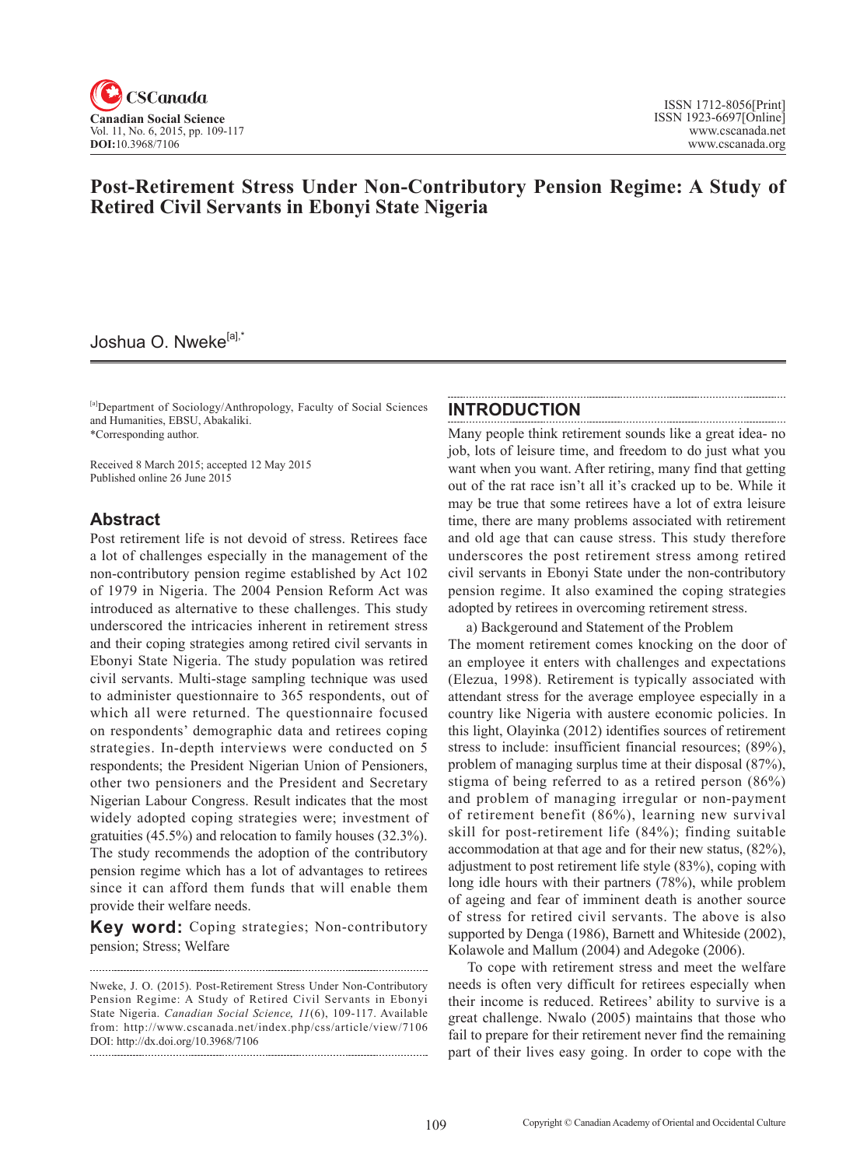

## **Post-Retirement Stress Under Non-Contributory Pension Regime: A Study of Retired Civil Servants in Ebonyi State Nigeria**

## Joshua O. Nweke<sup>[a],\*</sup>

[a]Department of Sociology/Anthropology, Faculty of Social Sciences and Humanities, EBSU, Abakaliki. \*Corresponding author.

Received 8 March 2015; accepted 12 May 2015 Published online 26 June 2015

## **Abstract**

Post retirement life is not devoid of stress. Retirees face a lot of challenges especially in the management of the non-contributory pension regime established by Act 102 of 1979 in Nigeria. The 2004 Pension Reform Act was introduced as alternative to these challenges. This study underscored the intricacies inherent in retirement stress and their coping strategies among retired civil servants in Ebonyi State Nigeria. The study population was retired civil servants. Multi-stage sampling technique was used to administer questionnaire to 365 respondents, out of which all were returned. The questionnaire focused on respondents' demographic data and retirees coping strategies. In-depth interviews were conducted on 5 respondents; the President Nigerian Union of Pensioners, other two pensioners and the President and Secretary Nigerian Labour Congress. Result indicates that the most widely adopted coping strategies were; investment of gratuities (45.5%) and relocation to family houses (32.3%). The study recommends the adoption of the contributory pension regime which has a lot of advantages to retirees since it can afford them funds that will enable them provide their welfare needs.

**Key word:** Coping strategies; Non-contributory pension; Stress; Welfare

## **INTRODUCTION**

Many people think retirement sounds like a great idea- no job, lots of leisure time, and freedom to do just what you want when you want. After retiring, many find that getting out of the rat race isn't all it's cracked up to be. While it may be true that some retirees have a lot of extra leisure time, there are many problems associated with retirement and old age that can cause stress. This study therefore underscores the post retirement stress among retired civil servants in Ebonyi State under the non-contributory pension regime. It also examined the coping strategies adopted by retirees in overcoming retirement stress.

 a) Backgeround and Statement of the Problem The moment retirement comes knocking on the door of an employee it enters with challenges and expectations (Elezua, 1998). Retirement is typically associated with attendant stress for the average employee especially in a country like Nigeria with austere economic policies. In this light, Olayinka (2012) identifies sources of retirement stress to include: insufficient financial resources; (89%), problem of managing surplus time at their disposal (87%), stigma of being referred to as a retired person (86%) and problem of managing irregular or non-payment of retirement benefit (86%), learning new survival skill for post-retirement life (84%); finding suitable accommodation at that age and for their new status, (82%), adjustment to post retirement life style (83%), coping with long idle hours with their partners (78%), while problem of ageing and fear of imminent death is another source of stress for retired civil servants. The above is also supported by Denga (1986), Barnett and Whiteside (2002), Kolawole and Mallum (2004) and Adegoke (2006).

To cope with retirement stress and meet the welfare needs is often very difficult for retirees especially when their income is reduced. Retirees' ability to survive is a great challenge. Nwalo (2005) maintains that those who fail to prepare for their retirement never find the remaining part of their lives easy going. In order to cope with the

Nweke, J. O. (2015). Post-Retirement Stress Under Non-Contributory Pension Regime: A Study of Retired Civil Servants in Ebonyi State Nigeria. *Canadian Social Science*, <sup>11</sup>(6), 109-117. Available from: http://www.cscanada.net/index.php/css/article/view/7106 DOI: http://dx.doi.org/10.3968/7106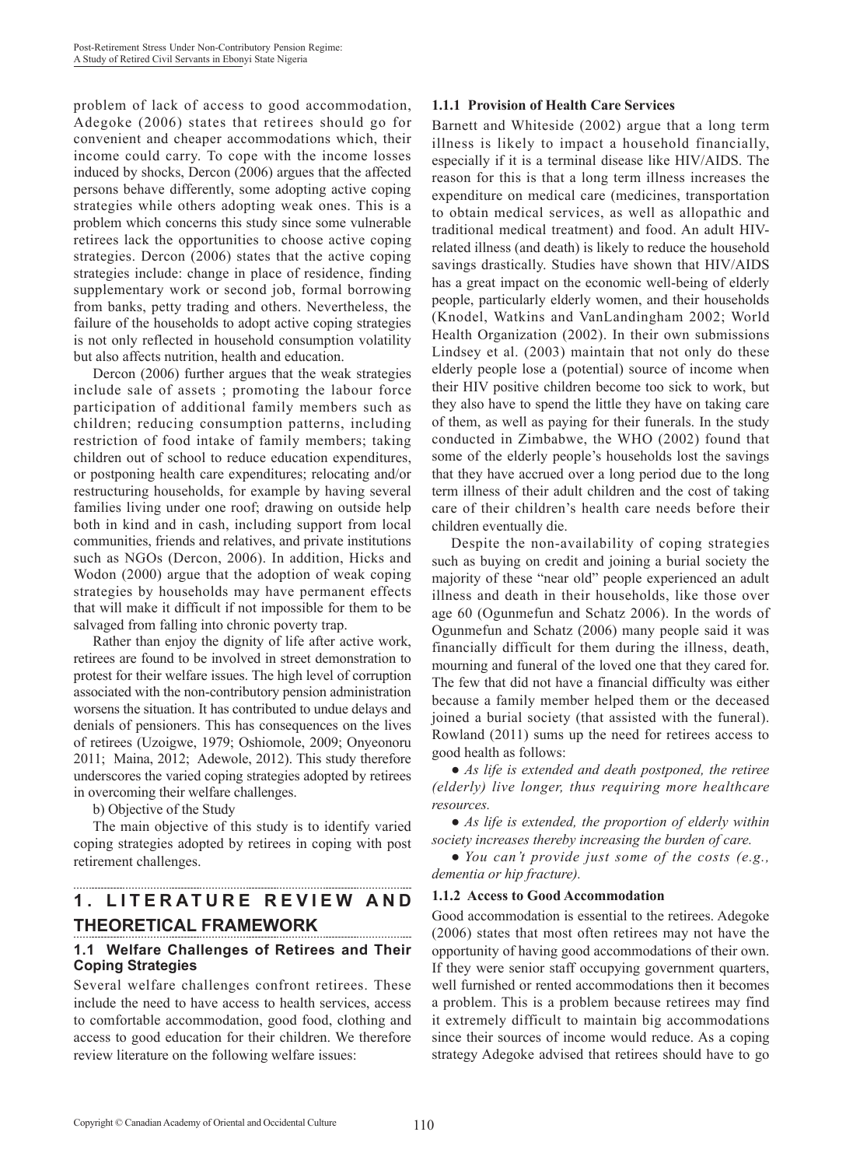problem of lack of access to good accommodation, Adegoke (2006) states that retirees should go for convenient and cheaper accommodations which, their income could carry. To cope with the income losses induced by shocks, Dercon (2006) argues that the affected persons behave differently, some adopting active coping strategies while others adopting weak ones. This is a problem which concerns this study since some vulnerable retirees lack the opportunities to choose active coping strategies. Dercon (2006) states that the active coping strategies include: change in place of residence, finding supplementary work or second job, formal borrowing from banks, petty trading and others. Nevertheless, the failure of the households to adopt active coping strategies is not only reflected in household consumption volatility but also affects nutrition, health and education.

Dercon (2006) further argues that the weak strategies include sale of assets ; promoting the labour force participation of additional family members such as children; reducing consumption patterns, including restriction of food intake of family members; taking children out of school to reduce education expenditures, or postponing health care expenditures; relocating and/or restructuring households, for example by having several families living under one roof; drawing on outside help both in kind and in cash, including support from local communities, friends and relatives, and private institutions such as NGOs (Dercon, 2006). In addition, Hicks and Wodon (2000) argue that the adoption of weak coping strategies by households may have permanent effects that will make it difficult if not impossible for them to be salvaged from falling into chronic poverty trap.

Rather than enjoy the dignity of life after active work, retirees are found to be involved in street demonstration to protest for their welfare issues. The high level of corruption associated with the non-contributory pension administration worsens the situation. It has contributed to undue delays and denials of pensioners. This has consequences on the lives of retirees (Uzoigwe, 1979; Oshiomole, 2009; Onyeonoru 2011; Maina, 2012; Adewole, 2012). This study therefore underscores the varied coping strategies adopted by retirees in overcoming their welfare challenges.

b) Objective of the Study

The main objective of this study is to identify varied coping strategies adopted by retirees in coping with post retirement challenges.

# **1 . L I T E R A T U R E R E V I E W A N D THEORETICAL FRAMEWORK**

### **1.1 Welfare Challenges of Retirees and Their Coping Strategies**

Several welfare challenges confront retirees. These include the need to have access to health services, access to comfortable accommodation, good food, clothing and access to good education for their children. We therefore review literature on the following welfare issues:

### **1.1.1 Provision of Health Care Services**

Barnett and Whiteside (2002) argue that a long term illness is likely to impact a household financially, especially if it is a terminal disease like HIV/AIDS. The reason for this is that a long term illness increases the expenditure on medical care (medicines, transportation to obtain medical services, as well as allopathic and traditional medical treatment) and food. An adult HIVrelated illness (and death) is likely to reduce the household savings drastically. Studies have shown that HIV/AIDS has a great impact on the economic well-being of elderly people, particularly elderly women, and their households (Knodel, Watkins and VanLandingham 2002; World Health Organization (2002). In their own submissions Lindsey et al. (2003) maintain that not only do these elderly people lose a (potential) source of income when their HIV positive children become too sick to work, but they also have to spend the little they have on taking care of them, as well as paying for their funerals. In the study conducted in Zimbabwe, the WHO (2002) found that some of the elderly people's households lost the savings that they have accrued over a long period due to the long term illness of their adult children and the cost of taking care of their children's health care needs before their children eventually die.

Despite the non-availability of coping strategies such as buying on credit and joining a burial society the majority of these "near old" people experienced an adult illness and death in their households, like those over age 60 (Ogunmefun and Schatz 2006). In the words of Ogunmefun and Schatz (2006) many people said it was financially difficult for them during the illness, death, mourning and funeral of the loved one that they cared for. The few that did not have a financial difficulty was either because a family member helped them or the deceased joined a burial society (that assisted with the funeral). Rowland (2011) sums up the need for retirees access to good health as follows:

• As life is extended and death postponed, the retiree *(elderly) live longer, thus requiring more healthcare resources.*

• As life is extended, the proportion of elderly within *society increases thereby increasing the burden of care.*

● *You can't provide just some of the costs (e.g., dementia or hip fracture).*

#### **1.1.2 Access to Good Accommodation**

Good accommodation is essential to the retirees. Adegoke (2006) states that most often retirees may not have the opportunity of having good accommodations of their own. If they were senior staff occupying government quarters, well furnished or rented accommodations then it becomes a problem. This is a problem because retirees may find it extremely difficult to maintain big accommodations since their sources of income would reduce. As a coping strategy Adegoke advised that retirees should have to go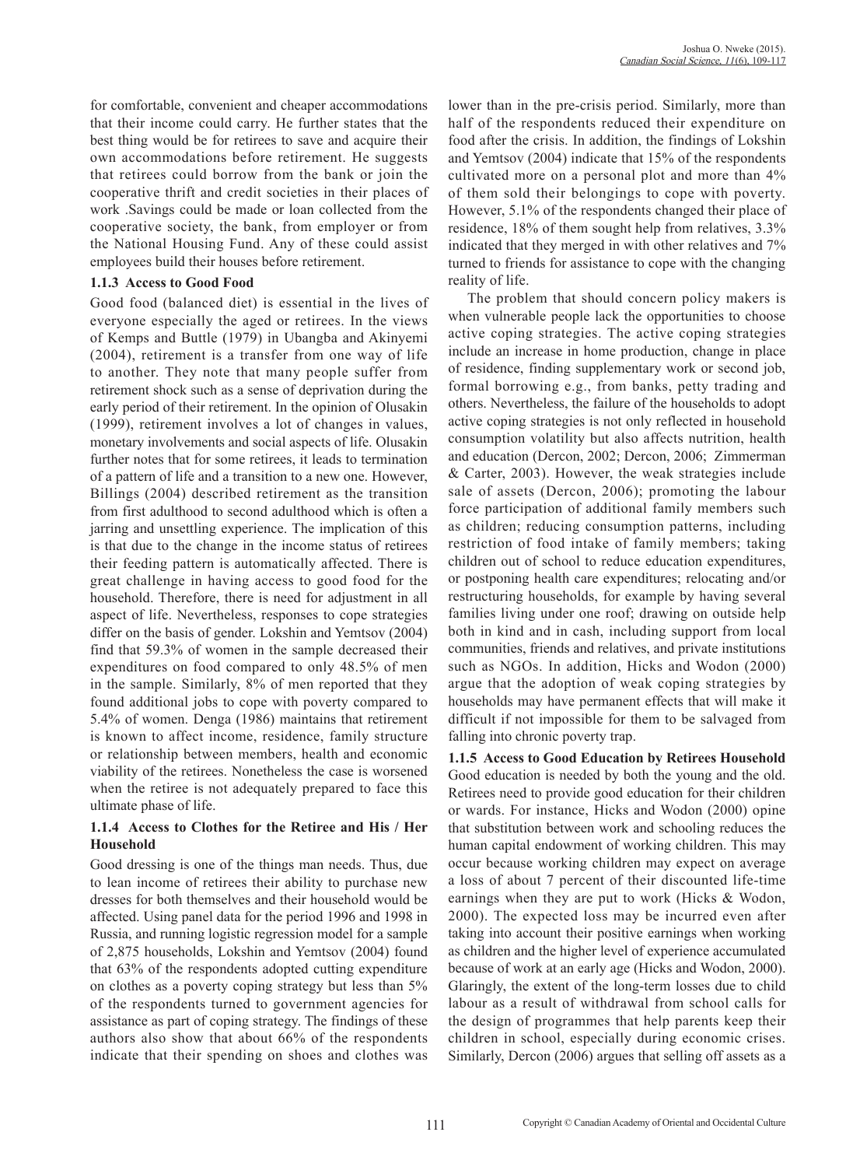for comfortable, convenient and cheaper accommodations that their income could carry. He further states that the best thing would be for retirees to save and acquire their own accommodations before retirement. He suggests that retirees could borrow from the bank or join the cooperative thrift and credit societies in their places of work .Savings could be made or loan collected from the cooperative society, the bank, from employer or from the National Housing Fund. Any of these could assist employees build their houses before retirement.

### **1.1.3 Access to Good Food**

Good food (balanced diet) is essential in the lives of everyone especially the aged or retirees. In the views of Kemps and Buttle (1979) in Ubangba and Akinyemi (2004), retirement is a transfer from one way of life to another. They note that many people suffer from retirement shock such as a sense of deprivation during the early period of their retirement. In the opinion of Olusakin (1999), retirement involves a lot of changes in values, monetary involvements and social aspects of life. Olusakin further notes that for some retirees, it leads to termination of a pattern of life and a transition to a new one. However, Billings (2004) described retirement as the transition from first adulthood to second adulthood which is often a jarring and unsettling experience. The implication of this is that due to the change in the income status of retirees their feeding pattern is automatically affected. There is great challenge in having access to good food for the household. Therefore, there is need for adjustment in all aspect of life. Nevertheless, responses to cope strategies differ on the basis of gender. Lokshin and Yemtsov (2004) find that 59.3% of women in the sample decreased their expenditures on food compared to only 48.5% of men in the sample. Similarly, 8% of men reported that they found additional jobs to cope with poverty compared to 5.4% of women. Denga (1986) maintains that retirement is known to affect income, residence, family structure or relationship between members, health and economic viability of the retirees. Nonetheless the case is worsened when the retiree is not adequately prepared to face this ultimate phase of life.

### **1.1.4 Access to Clothes for the Retiree and His / Her Household**

Good dressing is one of the things man needs. Thus, due to lean income of retirees their ability to purchase new dresses for both themselves and their household would be affected. Using panel data for the period 1996 and 1998 in Russia, and running logistic regression model for a sample of 2,875 households, Lokshin and Yemtsov (2004) found that 63% of the respondents adopted cutting expenditure on clothes as a poverty coping strategy but less than 5% of the respondents turned to government agencies for assistance as part of coping strategy. The findings of these authors also show that about 66% of the respondents indicate that their spending on shoes and clothes was lower than in the pre-crisis period. Similarly, more than half of the respondents reduced their expenditure on food after the crisis. In addition, the findings of Lokshin and Yemtsov (2004) indicate that 15% of the respondents cultivated more on a personal plot and more than 4% of them sold their belongings to cope with poverty. However, 5.1% of the respondents changed their place of residence, 18% of them sought help from relatives, 3.3% indicated that they merged in with other relatives and 7% turned to friends for assistance to cope with the changing reality of life.

The problem that should concern policy makers is when vulnerable people lack the opportunities to choose active coping strategies. The active coping strategies include an increase in home production, change in place of residence, finding supplementary work or second job, formal borrowing e.g., from banks, petty trading and others. Nevertheless, the failure of the households to adopt active coping strategies is not only reflected in household consumption volatility but also affects nutrition, health and education (Dercon, 2002; Dercon, 2006; Zimmerman & Carter, 2003). However, the weak strategies include sale of assets (Dercon, 2006); promoting the labour force participation of additional family members such as children; reducing consumption patterns, including restriction of food intake of family members; taking children out of school to reduce education expenditures, or postponing health care expenditures; relocating and/or restructuring households, for example by having several families living under one roof; drawing on outside help both in kind and in cash, including support from local communities, friends and relatives, and private institutions such as NGOs. In addition, Hicks and Wodon (2000) argue that the adoption of weak coping strategies by households may have permanent effects that will make it difficult if not impossible for them to be salvaged from falling into chronic poverty trap.

**1.1.5 Access to Good Education by Retirees Household** Good education is needed by both the young and the old. Retirees need to provide good education for their children or wards. For instance, Hicks and Wodon (2000) opine that substitution between work and schooling reduces the human capital endowment of working children. This may occur because working children may expect on average a loss of about 7 percent of their discounted life-time earnings when they are put to work (Hicks & Wodon, 2000). The expected loss may be incurred even after taking into account their positive earnings when working as children and the higher level of experience accumulated because of work at an early age (Hicks and Wodon, 2000). Glaringly, the extent of the long-term losses due to child labour as a result of withdrawal from school calls for the design of programmes that help parents keep their children in school, especially during economic crises. Similarly, Dercon (2006) argues that selling off assets as a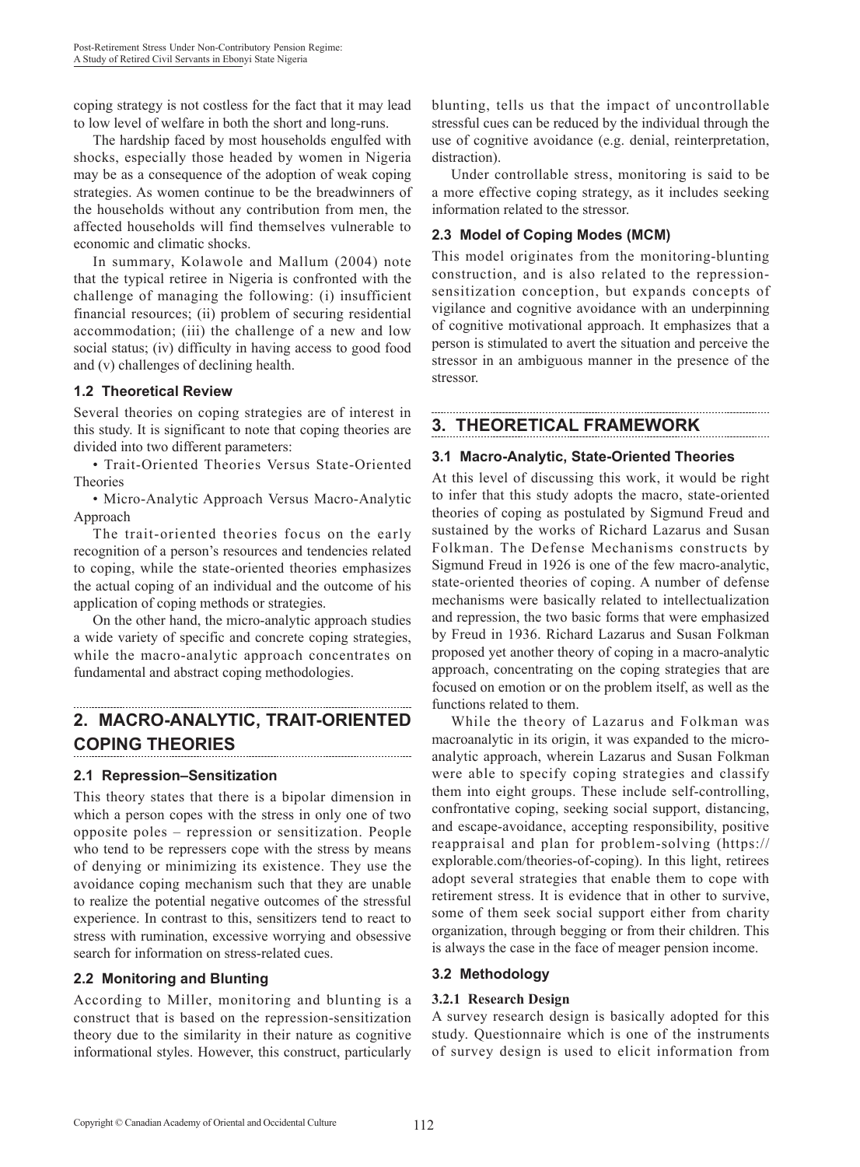coping strategy is not costless for the fact that it may lead to low level of welfare in both the short and long-runs.

The hardship faced by most households engulfed with shocks, especially those headed by women in Nigeria may be as a consequence of the adoption of weak coping strategies. As women continue to be the breadwinners of the households without any contribution from men, the affected households will find themselves vulnerable to economic and climatic shocks.

In summary, Kolawole and Mallum (2004) note that the typical retiree in Nigeria is confronted with the challenge of managing the following: (i) insufficient financial resources; (ii) problem of securing residential accommodation; (iii) the challenge of a new and low social status; (iv) difficulty in having access to good food and (v) challenges of declining health.

### **1.2 Theoretical Review**

Several theories on coping strategies are of interest in this study. It is significant to note that coping theories are divided into two different parameters:

• Trait-Oriented Theories Versus State-Oriented Theories

• Micro-Analytic Approach Versus Macro-Analytic Approach

The trait-oriented theories focus on the early recognition of a person's resources and tendencies related to coping, while the state-oriented theories emphasizes the actual coping of an individual and the outcome of his application of coping methods or strategies.

On the other hand, the micro-analytic approach studies a wide variety of specific and concrete coping strategies, while the macro-analytic approach concentrates on fundamental and abstract coping methodologies.

# **2. MACRO-ANALYTIC, TRAIT-ORIENTED COPING THEORIES**

### **2.1 Repression–Sensitization**

This theory states that there is a bipolar dimension in which a person copes with the stress in only one of two opposite poles – repression or sensitization. People who tend to be repressers cope with the stress by means of denying or minimizing its existence. They use the avoidance coping mechanism such that they are unable to realize the potential negative outcomes of the stressful experience. In contrast to this, sensitizers tend to react to stress with rumination, excessive worrying and obsessive search for information on stress-related cues.

### **2.2 Monitoring and Blunting**

According to Miller, monitoring and blunting is a construct that is based on the repression-sensitization theory due to the similarity in their nature as cognitive informational styles. However, this construct, particularly blunting, tells us that the impact of uncontrollable stressful cues can be reduced by the individual through the use of cognitive avoidance (e.g. denial, reinterpretation, distraction).

Under controllable stress, monitoring is said to be a more effective coping strategy, as it includes seeking information related to the stressor.

## **2.3 Model of Coping Modes (MCM)**

This model originates from the monitoring-blunting construction, and is also related to the repressionsensitization conception, but expands concepts of vigilance and cognitive avoidance with an underpinning of cognitive motivational approach. It emphasizes that a person is stimulated to avert the situation and perceive the stressor in an ambiguous manner in the presence of the stressor.

## **3. THEORETICAL FRAMEWORK**

### **3.1 Macro-Analytic, State-Oriented Theories**

At this level of discussing this work, it would be right to infer that this study adopts the macro, state-oriented theories of coping as postulated by Sigmund Freud and sustained by the works of Richard Lazarus and Susan Folkman. The Defense Mechanisms constructs by Sigmund Freud in 1926 is one of the few macro-analytic, state-oriented theories of coping. A number of defense mechanisms were basically related to intellectualization and repression, the two basic forms that were emphasized by Freud in 1936. Richard Lazarus and Susan Folkman proposed yet another theory of coping in a macro-analytic approach, concentrating on the coping strategies that are focused on emotion or on the problem itself, as well as the functions related to them.

While the theory of Lazarus and Folkman was macroanalytic in its origin, it was expanded to the microanalytic approach, wherein Lazarus and Susan Folkman were able to specify coping strategies and classify them into eight groups. These include self-controlling, confrontative coping, seeking social support, distancing, and escape-avoidance, accepting responsibility, positive reappraisal and plan for problem-solving (https:// explorable.com/theories-of-coping). In this light, retirees adopt several strategies that enable them to cope with retirement stress. It is evidence that in other to survive, some of them seek social support either from charity organization, through begging or from their children. This is always the case in the face of meager pension income.

### **3.2 Methodology**

### **3.2.1 Research Design**

A survey research design is basically adopted for this study. Questionnaire which is one of the instruments of survey design is used to elicit information from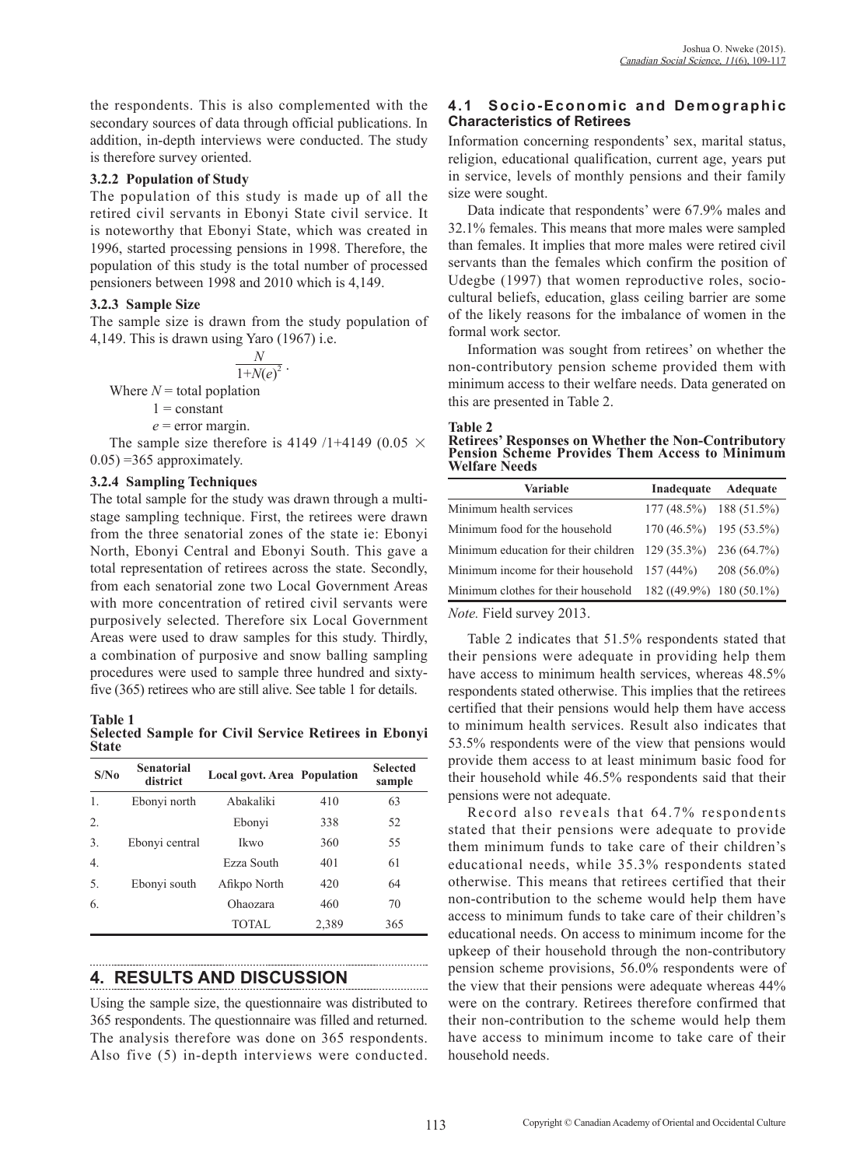the respondents. This is also complemented with the secondary sources of data through official publications. In addition, in-depth interviews were conducted. The study is therefore survey oriented.

### **3.2.2 Population of Study**

The population of this study is made up of all the retired civil servants in Ebonyi State civil service. It is noteworthy that Ebonyi State, which was created in 1996, started processing pensions in 1998. Therefore, the population of this study is the total number of processed pensioners between 1998 and 2010 which is 4,149.

### **3.2.3 Sample Size**

The sample size is drawn from the study population of 4,149. This is drawn using Yaro (1967) i.e.

$$
\frac{N}{1+N(e)^2}.
$$

Where  $N =$  total poplation

 $1$  = constant

 $e =$  error margin.

The sample size therefore is 4149 /1+4149 (0.05  $\times$  $0.05$ ) =365 approximately.

### **3.2.4 Sampling Techniques**

The total sample for the study was drawn through a multistage sampling technique. First, the retirees were drawn from the three senatorial zones of the state ie: Ebonyi North, Ebonyi Central and Ebonyi South. This gave a total representation of retirees across the state. Secondly, from each senatorial zone two Local Government Areas with more concentration of retired civil servants were purposively selected. Therefore six Local Government Areas were used to draw samples for this study. Thirdly, a combination of purposive and snow balling sampling procedures were used to sample three hundred and sixtyfive (365) retirees who are still alive. See table 1 for details.

**Table 1 Selected Sample for Civil Service Retirees in Ebonyi State**

| S/N <sub>0</sub> | Senatorial<br>district | <b>Local govt. Area Population</b> |       | <b>Selected</b><br>sample |
|------------------|------------------------|------------------------------------|-------|---------------------------|
| 1.               | Ebonyi north           | Abakaliki                          | 410   | 63                        |
| 2.               |                        | Ebonyi                             | 338   | 52                        |
| 3.               | Ebonyi central         | Ikwo                               | 360   | 55                        |
| $\overline{4}$ . |                        | Ezza South                         | 401   | 61                        |
| 5.               | Ebonyi south           | Afikpo North                       | 420   | 64                        |
| 6.               |                        | Ohaozara                           | 460   | 70                        |
|                  |                        | <b>TOTAL</b>                       | 2,389 | 365                       |

# **4. RESULTS AND DISCUSSION**

Using the sample size, the questionnaire was distributed to 365 respondents. The questionnaire was filled and returned. The analysis therefore was done on 365 respondents. Also five (5) in-depth interviews were conducted.

## **4.1 Socio-Economic and Demographic Characteristics of Retirees**

Information concerning respondents' sex, marital status, religion, educational qualification, current age, years put in service, levels of monthly pensions and their family size were sought.

Data indicate that respondents' were 67.9% males and 32.1% females. This means that more males were sampled than females. It implies that more males were retired civil servants than the females which confirm the position of Udegbe (1997) that women reproductive roles, sociocultural beliefs, education, glass ceiling barrier are some of the likely reasons for the imbalance of women in the formal work sector.

Information was sought from retirees' on whether the non-contributory pension scheme provided them with minimum access to their welfare needs. Data generated on this are presented in Table 2.

#### **Table 2**

**Retirees' Responses on Whether the Non-Contributory Pension Scheme Provides Them Access to Minimum Welfare Needs**

| <b>Variable</b>                                                  | Inadequate                   | Adequate      |
|------------------------------------------------------------------|------------------------------|---------------|
| Minimum health services                                          | $177(48.5\%)$ 188 (51.5%)    |               |
| Minimum food for the household                                   | $170(46.5\%)$ $195(53.5\%)$  |               |
| Minimum education for their children $129(35.3\%)$ $236(64.7\%)$ |                              |               |
| Minimum income for their household $157(44%)$                    |                              | $208(56.0\%)$ |
| Minimum clothes for their household                              | $182 ((49.9\%) 180 (50.1\%)$ |               |

*Note.* Field survey 2013.

Table 2 indicates that 51.5% respondents stated that their pensions were adequate in providing help them have access to minimum health services, whereas 48.5% respondents stated otherwise. This implies that the retirees certified that their pensions would help them have access to minimum health services. Result also indicates that 53.5% respondents were of the view that pensions would provide them access to at least minimum basic food for their household while 46.5% respondents said that their pensions were not adequate.

Record also reveals that 64.7% respondents stated that their pensions were adequate to provide them minimum funds to take care of their children's educational needs, while 35.3% respondents stated otherwise. This means that retirees certified that their non-contribution to the scheme would help them have access to minimum funds to take care of their children's educational needs. On access to minimum income for the upkeep of their household through the non-contributory pension scheme provisions, 56.0% respondents were of the view that their pensions were adequate whereas 44% were on the contrary. Retirees therefore confirmed that their non-contribution to the scheme would help them have access to minimum income to take care of their household needs.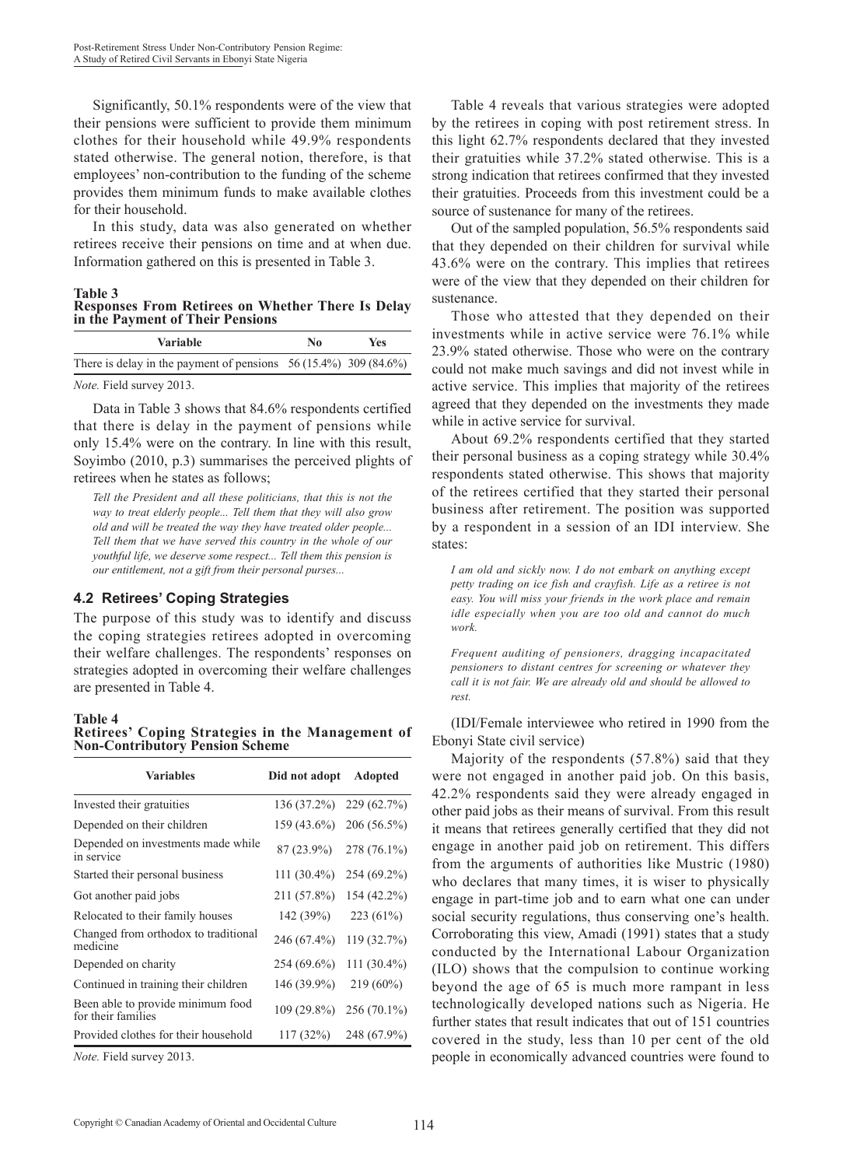Significantly, 50.1% respondents were of the view that their pensions were sufficient to provide them minimum clothes for their household while 49.9% respondents stated otherwise. The general notion, therefore, is that employees' non-contribution to the funding of the scheme provides them minimum funds to make available clothes for their household.

In this study, data was also generated on whether retirees receive their pensions on time and at when due. Information gathered on this is presented in Table 3.

**Table 3**

**Responses From Retirees on Whether There Is Delay in the Payment of Their Pensions**

| <b>Variable</b>                                                    | No | <b>Yes</b> |
|--------------------------------------------------------------------|----|------------|
| There is delay in the payment of pensions $56(15.4\%)$ 309 (84.6%) |    |            |
| <i>Note.</i> Field survey 2013.                                    |    |            |

Data in Table 3 shows that 84.6% respondents certified that there is delay in the payment of pensions while only 15.4% were on the contrary. In line with this result, Soyimbo (2010, p.3) summarises the perceived plights of retirees when he states as follows;

*Tell the President and all these politicians, that this is not the way to treat elderly people... Tell them that they will also grow old and will be treated the way they have treated older people... Tell them that we have served this country in the whole of our youthful life, we deserve some respect... Tell them this pension is our entitlement, not a gift from their personal purses...*

### **4.2 Retirees' Coping Strategies**

The purpose of this study was to identify and discuss the coping strategies retirees adopted in overcoming their welfare challenges. The respondents' responses on strategies adopted in overcoming their welfare challenges are presented in Table 4.

**Table 4**

**Retirees' Coping Strategies in the Management of Non-Contributory Pension Scheme**

| <b>Variables</b>                                        | Did not adopt | <b>Adopted</b> |
|---------------------------------------------------------|---------------|----------------|
| Invested their gratuities                               | 136 (37.2%)   | 229(62.7%)     |
| Depended on their children                              | 159 (43.6%)   | $206(56.5\%)$  |
| Depended on investments made while<br>in service        | $87(23.9\%)$  | 278 (76.1%)    |
| Started their personal business                         | $111(30.4\%)$ | 254 (69.2%)    |
| Got another paid jobs                                   | 211 (57.8%)   | 154 (42.2%)    |
| Relocated to their family houses                        | 142 (39%)     | 223(61%)       |
| Changed from orthodox to traditional<br>medicine        | 246 (67.4%)   | 119 (32.7%)    |
| Depended on charity                                     | 254 (69.6%)   | 111 (30.4%)    |
| Continued in training their children                    | 146 (39.9%)   | $219(60\%)$    |
| Been able to provide minimum food<br>for their families | 109 (29.8%)   | $256(70.1\%)$  |
| Provided clothes for their household                    | 117(32%)      | 248 (67.9%)    |
| <i>Note.</i> Field survey 2013.                         |               |                |

Table 4 reveals that various strategies were adopted by the retirees in coping with post retirement stress. In this light 62.7% respondents declared that they invested their gratuities while 37.2% stated otherwise. This is a strong indication that retirees confirmed that they invested their gratuities. Proceeds from this investment could be a source of sustenance for many of the retirees.

Out of the sampled population, 56.5% respondents said that they depended on their children for survival while 43.6% were on the contrary. This implies that retirees were of the view that they depended on their children for sustenance.

Those who attested that they depended on their investments while in active service were 76.1% while 23.9% stated otherwise. Those who were on the contrary could not make much savings and did not invest while in active service. This implies that majority of the retirees agreed that they depended on the investments they made while in active service for survival.

About 69.2% respondents certified that they started their personal business as a coping strategy while 30.4% respondents stated otherwise. This shows that majority of the retirees certified that they started their personal business after retirement. The position was supported by a respondent in a session of an IDI interview. She states:

*I am old and sickly now. I do not embark on anything except petty trading on ice fish and crayfish. Life as a retiree is not easy. You will miss your friends in the work place and remain idle especially when you are too old and cannot do much work.*

*Frequent auditing of pensioners, dragging incapacitated pensioners to distant centres for screening or whatever they call it is not fair. We are already old and should be allowed to rest.*

(IDI/Female interviewee who retired in 1990 from the Ebonyi State civil service)

Majority of the respondents (57.8%) said that they were not engaged in another paid job. On this basis, 42.2% respondents said they were already engaged in other paid jobs as their means of survival. From this result it means that retirees generally certified that they did not engage in another paid job on retirement. This differs from the arguments of authorities like Mustric (1980) who declares that many times, it is wiser to physically engage in part-time job and to earn what one can under social security regulations, thus conserving one's health. Corroborating this view, Amadi (1991) states that a study conducted by the International Labour Organization (ILO) shows that the compulsion to continue working beyond the age of 65 is much more rampant in less technologically developed nations such as Nigeria. He further states that result indicates that out of 151 countries covered in the study, less than 10 per cent of the old people in economically advanced countries were found to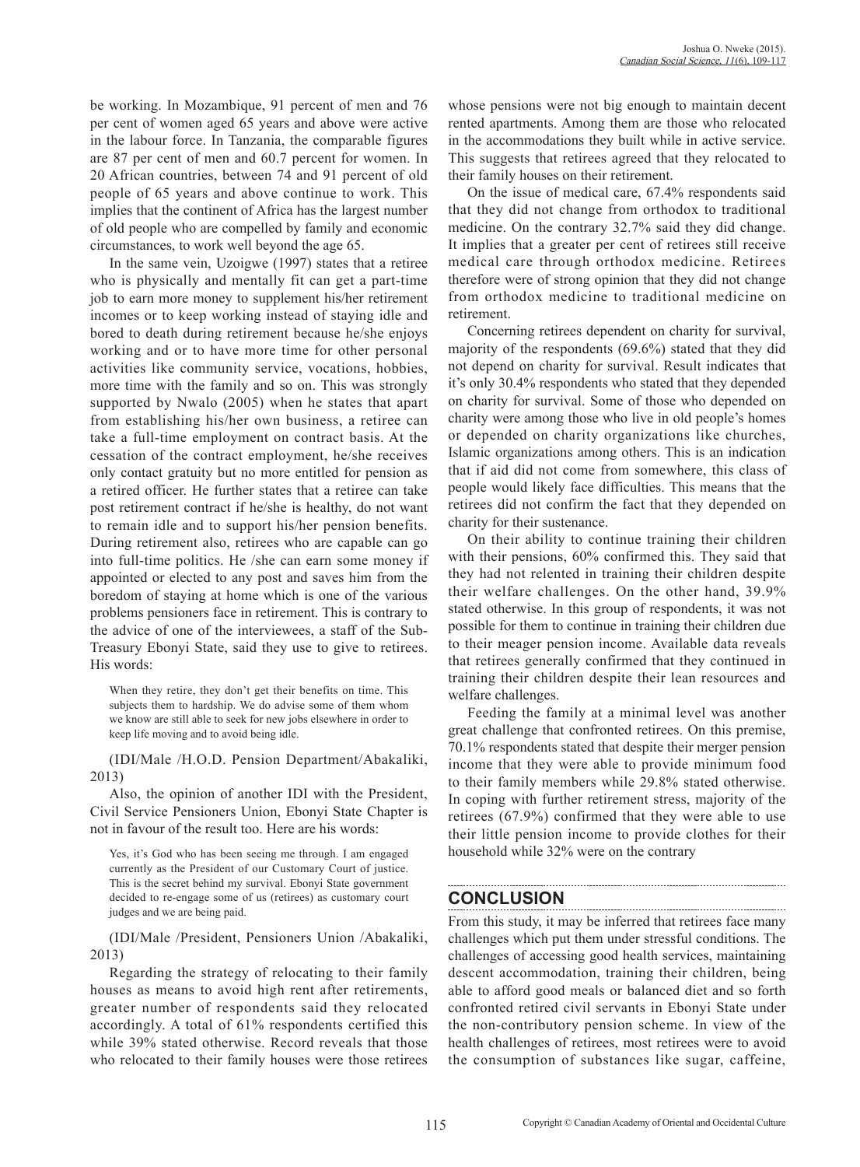be working. In Mozambique, 91 percent of men and 76 per cent of women aged 65 years and above were active in the labour force. In Tanzania, the comparable figures are 87 per cent of men and 60.7 percent for women. In 20 African countries, between 74 and 91 percent of old people of 65 years and above continue to work. This implies that the continent of Africa has the largest number of old people who are compelled by family and economic circumstances, to work well beyond the age 65.

In the same vein, Uzoigwe (1997) states that a retiree who is physically and mentally fit can get a part-time job to earn more money to supplement his/her retirement incomes or to keep working instead of staying idle and bored to death during retirement because he/she enjoys working and or to have more time for other personal activities like community service, vocations, hobbies, more time with the family and so on. This was strongly supported by Nwalo (2005) when he states that apart from establishing his/her own business, a retiree can take a full-time employment on contract basis. At the cessation of the contract employment, he/she receives only contact gratuity but no more entitled for pension as a retired officer. He further states that a retiree can take post retirement contract if he/she is healthy, do not want to remain idle and to support his/her pension benefits. During retirement also, retirees who are capable can go into full-time politics. He /she can earn some money if appointed or elected to any post and saves him from the boredom of staying at home which is one of the various problems pensioners face in retirement. This is contrary to the advice of one of the interviewees, a staff of the Sub-Treasury Ebonyi State, said they use to give to retirees. His words:

When they retire, they don't get their benefits on time. This subjects them to hardship. We do advise some of them whom we know are still able to seek for new jobs elsewhere in order to keep life moving and to avoid being idle.

(IDI/Male /H.O.D. Pension Department/Abakaliki, 2013)

Also, the opinion of another IDI with the President, Civil Service Pensioners Union, Ebonyi State Chapter is not in favour of the result too. Here are his words:

Yes, it's God who has been seeing me through. I am engaged currently as the President of our Customary Court of justice. This is the secret behind my survival. Ebonyi State government decided to re-engage some of us (retirees) as customary court judges and we are being paid.

(IDI/Male /President, Pensioners Union /Abakaliki, 2013)

Regarding the strategy of relocating to their family houses as means to avoid high rent after retirements, greater number of respondents said they relocated accordingly. A total of 61% respondents certified this while 39% stated otherwise. Record reveals that those who relocated to their family houses were those retirees whose pensions were not big enough to maintain decent rented apartments. Among them are those who relocated in the accommodations they built while in active service. This suggests that retirees agreed that they relocated to their family houses on their retirement.

On the issue of medical care, 67.4% respondents said that they did not change from orthodox to traditional medicine. On the contrary 32.7% said they did change. It implies that a greater per cent of retirees still receive medical care through orthodox medicine. Retirees therefore were of strong opinion that they did not change from orthodox medicine to traditional medicine on retirement.

Concerning retirees dependent on charity for survival, majority of the respondents (69.6%) stated that they did not depend on charity for survival. Result indicates that it's only 30.4% respondents who stated that they depended on charity for survival. Some of those who depended on charity were among those who live in old people's homes or depended on charity organizations like churches, Islamic organizations among others. This is an indication that if aid did not come from somewhere, this class of people would likely face difficulties. This means that the retirees did not confirm the fact that they depended on charity for their sustenance.

On their ability to continue training their children with their pensions, 60% confirmed this. They said that they had not relented in training their children despite their welfare challenges. On the other hand, 39.9% stated otherwise. In this group of respondents, it was not possible for them to continue in training their children due to their meager pension income. Available data reveals that retirees generally confirmed that they continued in training their children despite their lean resources and welfare challenges.

Feeding the family at a minimal level was another great challenge that confronted retirees. On this premise, 70.1% respondents stated that despite their merger pension income that they were able to provide minimum food to their family members while 29.8% stated otherwise. In coping with further retirement stress, majority of the retirees (67.9%) confirmed that they were able to use their little pension income to provide clothes for their household while 32% were on the contrary

## **CONCLUSION**

From this study, it may be inferred that retirees face many challenges which put them under stressful conditions. The challenges of accessing good health services, maintaining descent accommodation, training their children, being able to afford good meals or balanced diet and so forth confronted retired civil servants in Ebonyi State under the non-contributory pension scheme. In view of the health challenges of retirees, most retirees were to avoid the consumption of substances like sugar, caffeine,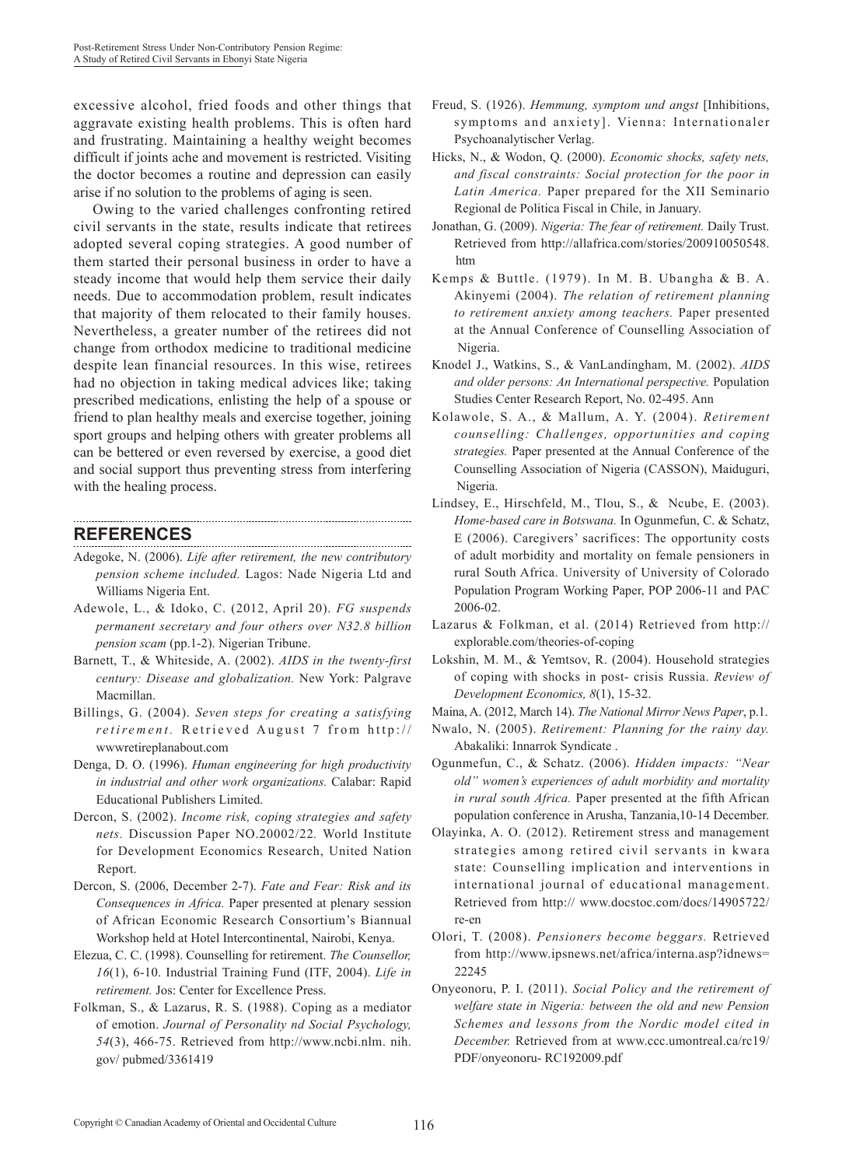excessive alcohol, fried foods and other things that aggravate existing health problems. This is often hard and frustrating. Maintaining a healthy weight becomes difficult if joints ache and movement is restricted. Visiting the doctor becomes a routine and depression can easily arise if no solution to the problems of aging is seen.

Owing to the varied challenges confronting retired civil servants in the state, results indicate that retirees adopted several coping strategies. A good number of them started their personal business in order to have a steady income that would help them service their daily needs. Due to accommodation problem, result indicates that majority of them relocated to their family houses. Nevertheless, a greater number of the retirees did not change from orthodox medicine to traditional medicine despite lean financial resources. In this wise, retirees had no objection in taking medical advices like; taking prescribed medications, enlisting the help of a spouse or friend to plan healthy meals and exercise together, joining sport groups and helping others with greater problems all can be bettered or even reversed by exercise, a good diet and social support thus preventing stress from interfering with the healing process.

#### **REFERENCES**

- Adegoke, N. (2006). *Life after retirement, the new contributory pension scheme included.* Lagos: Nade Nigeria Ltd and Williams Nigeria Ent.
- Adewole, L., & Idoko, C. (2012, April 20). *FG suspends permanent secretary and four others over N32.8 billion pension scam (pp.1-2).* Nigerian Tribune.
- Barnett, T., & Whiteside, A. (2002). *AIDS in the twenty-first century: Disease and globalization.* New York: Palgrave Macmillan.
- Billings, G. (2004). *Seven steps for creating a satisfying retirement.* Retrieved August 7 from http:// wwwretireplanabout.com
- Denga, D. O. (1996). *Human engineering for high productivity in industrial and other work organizations.* Calabar: Rapid Educational Publishers Limited.
- Dercon, S. (2002). *Income risk, coping strategies and safety nets.* Discussion Paper NO.20002/22*.* World Institute for Development Economics Research, United Nation Report.
- Dercon, S. (2006, December 2-7). *Fate and Fear: Risk and its Consequences in Africa.* Paper presented at plenary session of African Economic Research Consortium's Biannual Workshop held at Hotel Intercontinental, Nairobi, Kenya.
- Elezua, C. C. (1998). Counselling for retirement. *The Counsellor, 16*(1), 6-10. Industrial Training Fund (ITF, 2004). *Life in retirement.* Jos: Center for Excellence Press.
- Folkman, S., & Lazarus, R. S. (1988). Coping as a mediator of emotion. *Journal of Personality nd Social Psychology, 54*(3), 466-75. Retrieved from http://www.ncbi.nlm. nih. gov/ pubmed/3361419
- Freud, S. (1926). *Hemmung, symptom und angst* [Inhibitions, symptoms and anxiety]. Vienna: Internationaler Psychoanalytischer Verlag.
- Hicks, N., & Wodon, Q. (2000). *Economic shocks, safety nets, and fiscal constraints: Social protection for the poor in Latin America.* Paper prepared for the XII Seminario Regional de Politica Fiscal in Chile, in January.
- Jonathan, G. (2009). *Nigeria: The fear of retirement.* Daily Trust. Retrieved from http://allafrica.com/stories/200910050548. htm
- Kemps & Buttle. (1979). In M. B. Ubangha & B. A. Akinyemi (2004). *The relation of retirement planning to retirement anxiety among teachers.* Paper presented at the Annual Conference of Counselling Association of Nigeria.
- Knodel J., Watkins, S., & VanLandingham, M. (2002). *AIDS and older persons: An International perspective.* Population Studies Center Research Report, No. 02-495. Ann
- Kolawole, S. A., & Mallum, A. Y. (2004). *Retirement counselling: Challenges, opportunities and coping strategies.* Paper presented at the Annual Conference of the Counselling Association of Nigeria (CASSON), Maiduguri, Nigeria.
- Lindsey, E., Hirschfeld, M., Tlou, S., & Ncube, E. (2003). *Home-based care in Botswana.* In Ogunmefun, C. & Schatz, E (2006). Caregivers' sacrifices: The opportunity costs of adult morbidity and mortality on female pensioners in rural South Africa. University of University of Colorado Population Program Working Paper, POP 2006-11 and PAC 2006-02.
- Lazarus & Folkman, et al. (2014) Retrieved from http:// explorable.com/theories-of-coping
- Lokshin, M. M., & Yemtsov, R. (2004). Household strategies of coping with shocks in post- crisis Russia. *Review of Development Economics, 8*(1), 15-32.
- Maina, A. (2012, March 14). *The National Mirror News Paper*, p.1.
- Nwalo, N. (2005). *Retirement: Planning for the rainy day.*  Abakaliki: Innarrok Syndicate .
- Ogunmefun, C., & Schatz. (2006). *Hidden impacts: "Near old" women's experiences of adult morbidity and mortality in rural south Africa.* Paper presented at the fifth African population conference in Arusha, Tanzania,10-14 December.
- Olayinka, A. O. (2012). Retirement stress and management strategies among retired civil servants in kwara state: Counselling implication and interventions in international journal of educational management. Retrieved from http:// www.docstoc.com/docs/14905722/ re-en
- Olori, T. (2008). *Pensioners become beggars.* Retrieved from http://www.ipsnews.net/africa/interna.asp?idnews= 22245
- Onyeonoru, P. I. (2011). *Social Policy and the retirement of welfare state in Nigeria: between the old and new Pension Schemes and lessons from the Nordic model cited in December.* Retrieved from at www.ccc.umontreal.ca/rc19/ PDF/onyeonoru- RC192009.pdf